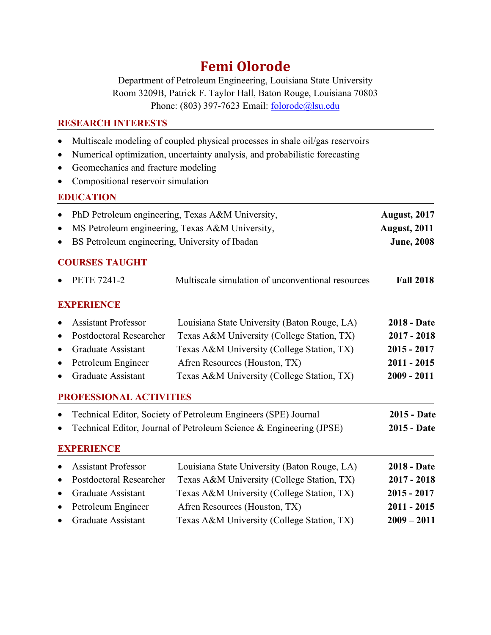# **Femi Olorode**

Department of Petroleum Engineering, Louisiana State University Room 3209B, Patrick F. Taylor Hall, Baton Rouge, Louisiana 70803 Phone: (803) 397-7623 Email: folorode@lsu.edu

#### **RESEARCH INTERESTS**

- Multiscale modeling of coupled physical processes in shale oil/gas reservoirs
- Numerical optimization, uncertainty analysis, and probabilistic forecasting
- Geomechanics and fracture modeling
- Compositional reservoir simulation

### **EDUCATION**

| • PhD Petroleum engineering, Texas A&M University, | <b>August, 2017</b> |
|----------------------------------------------------|---------------------|
| • MS Petroleum engineering, Texas A&M University,  | <b>August, 2011</b> |

• BS Petroleum engineering, University of Ibadan **June, 2008** 

## **COURSES TAUGHT**

|           | <b>PETE 7241-2</b>         | Multiscale simulation of unconventional resources                   | <b>Fall 2018</b>   |
|-----------|----------------------------|---------------------------------------------------------------------|--------------------|
|           | <b>EXPERIENCE</b>          |                                                                     |                    |
|           | <b>Assistant Professor</b> | Louisiana State University (Baton Rouge, LA)                        | <b>2018 - Date</b> |
| ٠         | Postdoctoral Researcher    | Texas A&M University (College Station, TX)                          | $2017 - 2018$      |
| $\bullet$ | Graduate Assistant         | Texas A&M University (College Station, TX)                          | $2015 - 2017$      |
| $\bullet$ | Petroleum Engineer         | Afren Resources (Houston, TX)                                       | $2011 - 2015$      |
|           | Graduate Assistant         | Texas A&M University (College Station, TX)                          | $2009 - 2011$      |
|           | PROFESSIONAL ACTIVITIES    |                                                                     |                    |
|           |                            | Technical Editor, Society of Petroleum Engineers (SPE) Journal      | <b>2015 - Date</b> |
|           |                            | Technical Editor, Journal of Petroleum Science & Engineering (JPSE) | <b>2015 - Date</b> |
|           | <b>EXPERIENCE</b>          |                                                                     |                    |
|           | <b>Assistant Professor</b> | Louisiana State University (Baton Rouge, LA)                        | <b>2018 - Date</b> |
|           | Postdoctoral Researcher    | Texas A&M University (College Station, TX)                          | $2017 - 2018$      |
|           | Graduate Assistant         | Texas A&M University (College Station, TX)                          | $2015 - 2017$      |
|           | Petroleum Engineer         | Afren Resources (Houston, TX)                                       | $2011 - 2015$      |
|           | Graduate Assistant         | Texas A&M University (College Station, TX)                          | $2009 - 2011$      |